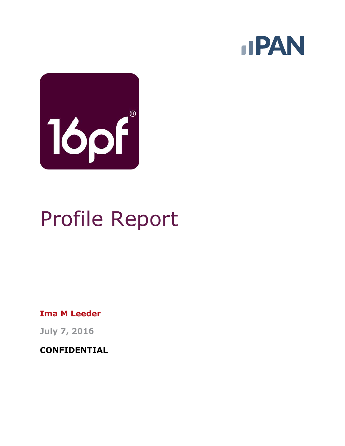



# Profile Report

**Ima M Leeder**

**July 7, 2016**

**CONFIDENTIAL**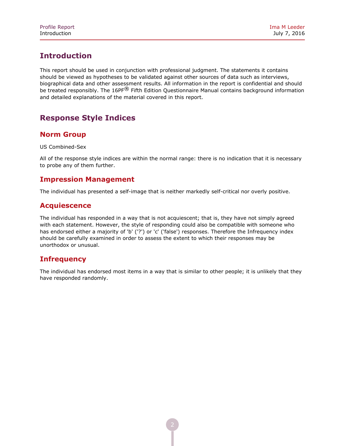# **Introduction**

This report should be used in conjunction with professional judgment. The statements it contains should be viewed as hypotheses to be validated against other sources of data such as interviews, biographical data and other assessment results. All information in the report is confidential and should be treated responsibly. The 16PF<sup>®</sup> Fifth Edition Questionnaire Manual contains background information and detailed explanations of the material covered in this report.

# **Response Style Indices**

## **Norm Group**

US Combined-Sex

All of the response style indices are within the normal range: there is no indication that it is necessary to probe any of them further.

#### **Impression Management**

The individual has presented a self-image that is neither markedly self-critical nor overly positive.

#### **Acquiescence**

The individual has responded in a way that is not acquiescent; that is, they have not simply agreed with each statement. However, the style of responding could also be compatible with someone who has endorsed either a majority of 'b' ('?') or 'c' ('false') responses. Therefore the Infrequency index should be carefully examined in order to assess the extent to which their responses may be unorthodox or unusual.

#### **Infrequency**

The individual has endorsed most items in a way that is similar to other people; it is unlikely that they have responded randomly.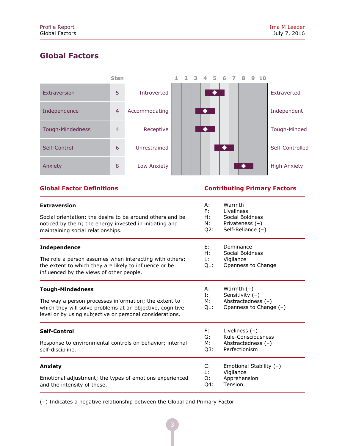# **Global Factors**



**Global Factor Definitions Contributing Primary Factors**

| <b>Extraversion</b><br>Social orientation; the desire to be around others and be<br>noticed by them; the energy invested in initiating and<br>maintaining social relationships.                           | А:<br>F:<br>H:<br>N:<br>Q2: | Warmth<br>Liveliness<br>Social Boldness<br>Privateness $(-)$<br>Self-Reliance $(-)$ |  |  |  |  |
|-----------------------------------------------------------------------------------------------------------------------------------------------------------------------------------------------------------|-----------------------------|-------------------------------------------------------------------------------------|--|--|--|--|
| <b>Independence</b><br>The role a person assumes when interacting with others;<br>the extent to which they are likely to influence or be<br>influenced by the views of other people.                      | E:<br>H:<br>L: I<br>$Q1$ :  | Dominance<br>Social Boldness<br>Vigilance<br>Openness to Change                     |  |  |  |  |
| <b>Tough-Mindedness</b><br>The way a person processes information; the extent to<br>which they will solve problems at an objective, cognitive<br>level or by using subjective or personal considerations. | А:<br>Ι.<br>М:<br>$Q1$ :    | Warmth $(-)$<br>Sensitivity $(-)$<br>Abstractedness $(-)$<br>Openness to Change (-) |  |  |  |  |
| Self-Control<br>Response to environmental controls on behavior; internal<br>self-discipline.                                                                                                              | F:<br>G:<br>М:<br>Q3:       | Liveliness $(-)$<br>Rule-Consciousness<br>Abstractedness $(-)$<br>Perfectionism     |  |  |  |  |
| Anxiety<br>Emotional adjustment; the types of emotions experienced<br>and the intensity of these.                                                                                                         | C:<br>Ŀ.<br>O:<br>Q4:       | Emotional Stability (-)<br>Vigilance<br>Apprehension<br>Tension                     |  |  |  |  |

(–) Indicates a negative relationship between the Global and Primary Factor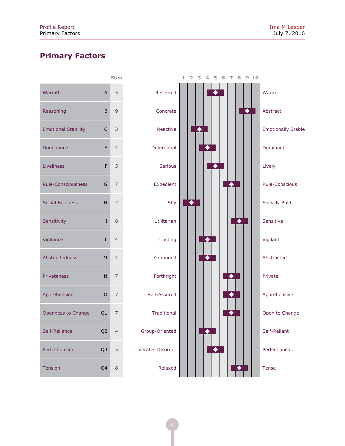# **Primary Factors**

|                            |    | Sten           |
|----------------------------|----|----------------|
| Warmth                     | A  | 5              |
| Reasoning                  | B  | 9              |
| <b>Emotional Stability</b> | C  | 3              |
| Dominance                  | E  | 4              |
| Liveliness                 | F  | 5              |
| <b>Rule-Consciousness</b>  | G  | 7              |
| <b>Social Boldness</b>     | н  | $\overline{2}$ |
| Sensitivity                | I  | 8              |
| Vigilance                  | L  | $\overline{4}$ |
| <b>Abstractedness</b>      | M  | $\overline{4}$ |
| <b>Privateness</b>         | N  | 7              |
| Apprehension               | O  | 7              |
| Openness to Change         | Q1 | 7              |
| Self-Reliance              | Q2 | 4              |
| Perfectionism              | Q3 | 5              |
| <b>Tension</b>             | Q4 | 8              |

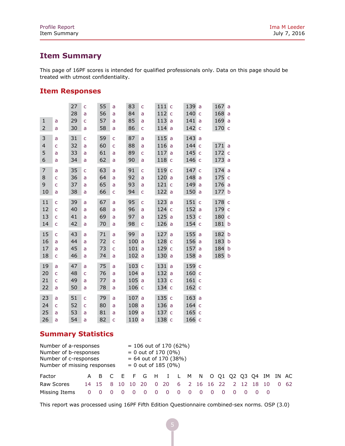# **Item Summary**

This page of 16PF scores is intended for qualified professionals only. Data on this page should be treated with utmost confidentiality.

### **Item Responses**

|                |              | 27 | $\mathsf{C}$ | 55 | a | 83    | C | 111 | $\mathsf{C}$ | 139   | a            | 167   | a            |
|----------------|--------------|----|--------------|----|---|-------|---|-----|--------------|-------|--------------|-------|--------------|
|                |              | 28 | a            | 56 | a | 84    | a | 112 | $\mathsf{C}$ | 140   | $\mathsf{C}$ | 168   | a            |
| $\mathbf{1}$   | a            | 29 | C            | 57 | a | 85    | a | 113 | a            | 141   | a            | 169   | a            |
| $\overline{2}$ | a            | 30 | a            | 58 | a | 86    | C | 114 | a            | 142   | $\mathsf{C}$ | 170 c |              |
| 3              | a            | 31 | Ċ            | 59 | C | 87    | a | 115 | a            | 143   | a            |       |              |
| $\overline{4}$ | Ċ            | 32 | a            | 60 | C | 88    | a | 116 | a            | 144   | $\mathsf{C}$ | 171a  |              |
| 5              | a            | 33 | a            | 61 | a | 89    | Ċ | 117 | a            | 145   | $\mathsf{C}$ | 172 c |              |
| 6              | a            | 34 | a            | 62 | a | 90    | a | 118 | C            | 146   | $\mathsf{C}$ | 173a  |              |
| $\overline{7}$ | a            | 35 | Ċ            | 63 | a | 91    | Ċ | 119 | $\mathsf{C}$ | 147   | $\mathsf{C}$ | 174a  |              |
| 8              | Ċ            | 36 | a            | 64 | a | 92    | a | 120 | a            | 148   | a            | 175   | $\mathsf{C}$ |
| 9              | Ċ            | 37 | a            | 65 | a | 93    | a | 121 | $\mathsf{C}$ | 149   | a            | 176a  |              |
| 10             | a            | 38 | a            | 66 | C | 94    | C | 122 | a            | 150   | a            | 177   | b            |
| 11             | Ċ            | 39 | a            | 67 | a | 95    | Ċ | 123 | a            | 151   | $\mathsf{C}$ | 178 c |              |
| 12             | C            | 40 | a            | 68 | a | 96    | a | 124 | $\mathsf{C}$ | 152   | a            | 179 c |              |
| 13             | C            | 41 | a            | 69 | a | 97    | a | 125 | a            | 153   | $\mathsf{C}$ | 180   | $\mathsf{C}$ |
| 14             | $\mathsf{C}$ | 42 | a            | 70 | a | 98    | C | 126 | a            | 154   | C            | 181   | b            |
| 15             | C            | 43 | a            | 71 | a | 99    | a | 127 | a            | 155   | a            | 182   | b            |
| 16             | a            | 44 | a            | 72 | Ċ | 100   | a | 128 | $\mathsf{C}$ | 156   | a            | 183   | b            |
| 17             | a            | 45 | a            | 73 | C | 101   | a | 129 | $\mathsf{C}$ | 157   | a            | 184   | b            |
| 18             | C            | 46 | a            | 74 | a | 102   | a | 130 | a            | 158   | a            | 185   | $\mathbf b$  |
| 19             | a            | 47 | a            | 75 | a | 103 c |   | 131 | a            | 159   | $\mathsf{C}$ |       |              |
| 20             | $\mathsf{C}$ | 48 | Ċ            | 76 | a | 104a  |   | 132 | a            | 160   | $\mathsf{C}$ |       |              |
| 21             | Ċ            | 49 | a            | 77 | a | 105   | a | 133 | $\mathsf{C}$ | 161   | $\mathsf{C}$ |       |              |
| 22             | a            | 50 | a            | 78 | a | 106 с |   | 134 | $\mathsf{C}$ | 162 c |              |       |              |
| 23             | a            | 51 | Ċ            | 79 | a | 107   | a | 135 | $\mathsf{C}$ | 163   | a            |       |              |
| 24             | C            | 52 |              | 80 |   | 108   | a | 136 |              | 164   | $\mathsf{C}$ |       |              |
|                |              | 53 | C            |    | a |       |   |     | a            |       |              |       |              |
| 25             | a            |    | a            | 81 | a | 109   | a | 137 | $\mathsf{C}$ | 165   | $\mathsf{C}$ |       |              |
| 26             | a            | 54 | a            | 82 | C | 110a  |   | 138 | $\mathsf{C}$ | 166   | $\mathsf{C}$ |       |              |

# **Summary Statistics**

| Number of a-responses<br>Number of b-responses<br>Number of c-responses<br>Number of missing responses |    |            |  |  |       |   | $= 106$ out of 170 (62%)<br>$= 0$ out of 170 (0%)<br>$= 64$ out of 170 (38%)<br>$= 0$ out of 185 (0%) |   |  |  |         |  |    |              |
|--------------------------------------------------------------------------------------------------------|----|------------|--|--|-------|---|-------------------------------------------------------------------------------------------------------|---|--|--|---------|--|----|--------------|
| Factor                                                                                                 |    |            |  |  |       |   | A B C E F G H I L M N O Q1 Q2 Q3 Q4 IM IN AC                                                          |   |  |  |         |  |    |              |
| Raw Scores                                                                                             |    | 14 15 8 10 |  |  | 10 20 |   | 0 20 6 2 16 16 22                                                                                     |   |  |  | 2 12 18 |  | 10 | $0 \quad 62$ |
| Missing Items                                                                                          | O. |            |  |  |       | 0 | - 0                                                                                                   | 0 |  |  |         |  |    |              |

This report was processed using 16PF Fifth Edition Questionnaire combined-sex norms. OSP (3.0)